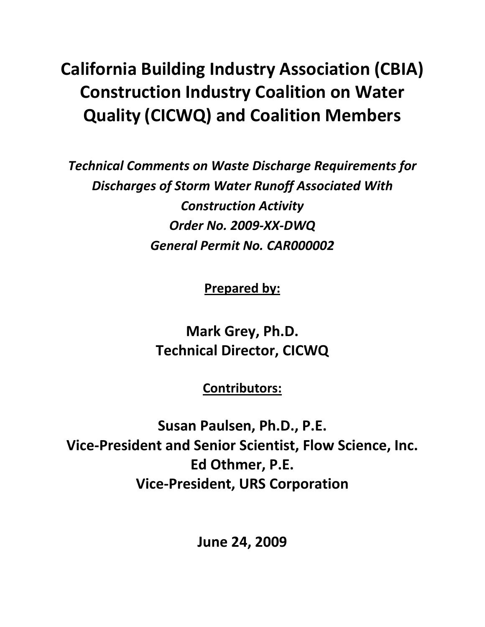# **California Building Industry Association (CBIA) Construction Industry Coalition on Water Quality (CICWQ) and Coalition Members**

*Technical Comments on Waste Discharge Requirements for Discharges of Storm Water Runoff Associated With Construction Activity Order No. 2009-XX-DWQ General Permit No. CAR000002*

**Prepared by:**

**Mark Grey, Ph.D. Technical Director, CICWQ**

**Contributors:**

**Susan Paulsen, Ph.D., P.E. Vice-President and Senior Scientist, Flow Science, Inc. Ed Othmer, P.E. Vice-President, URS Corporation**

**June 24, 2009**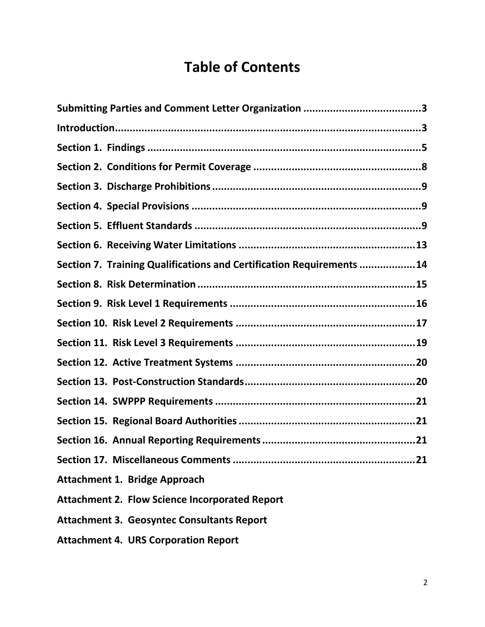# **Table of Contents**

| Section 7. Training Qualifications and Certification Requirements 14 |
|----------------------------------------------------------------------|
|                                                                      |
|                                                                      |
|                                                                      |
|                                                                      |
|                                                                      |
|                                                                      |
|                                                                      |
|                                                                      |
|                                                                      |
| 21                                                                   |
| <b>Attachment 1. Bridge Approach</b>                                 |
| <b>Attachment 2. Flow Science Incorporated Report</b>                |
| <b>Attachment 3. Geosyntec Consultants Report</b>                    |
| <b>Attachment 4. URS Corporation Report</b>                          |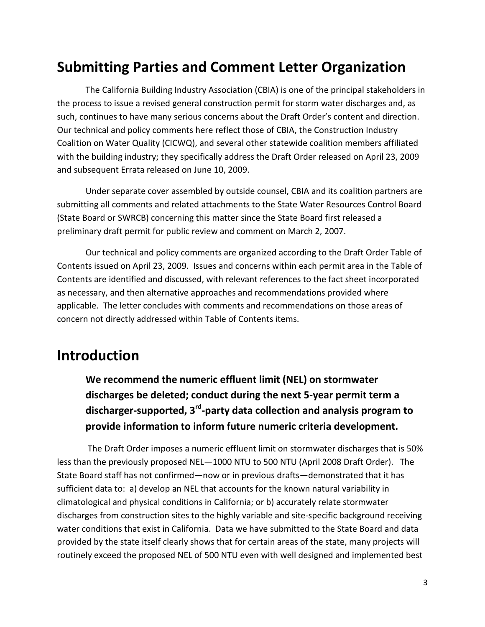# <span id="page-2-0"></span>**Submitting Parties and Comment Letter Organization**

The California Building Industry Association (CBIA) is one of the principal stakeholders in the process to issue a revised general construction permit for storm water discharges and, as such, continues to have many serious concerns about the Draft Order's content and direction. Our technical and policy comments here reflect those of CBIA, the Construction Industry Coalition on Water Quality (CICWQ), and several other statewide coalition members affiliated with the building industry; they specifically address the Draft Order released on April 23, 2009 and subsequent Errata released on June 10, 2009.

Under separate cover assembled by outside counsel, CBIA and its coalition partners are submitting all comments and related attachments to the State Water Resources Control Board (State Board or SWRCB) concerning this matter since the State Board first released a preliminary draft permit for public review and comment on March 2, 2007.

Our technical and policy comments are organized according to the Draft Order Table of Contents issued on April 23, 2009. Issues and concerns within each permit area in the Table of Contents are identified and discussed, with relevant references to the fact sheet incorporated as necessary, and then alternative approaches and recommendations provided where applicable. The letter concludes with comments and recommendations on those areas of concern not directly addressed within Table of Contents items.

### <span id="page-2-1"></span>**Introduction**

**We recommend the numeric effluent limit (NEL) on stormwater discharges be deleted; conduct during the next 5-year permit term a discharger-supported, 3rd-party data collection and analysis program to provide information to inform future numeric criteria development.**

The Draft Order imposes a numeric effluent limit on stormwater discharges that is 50% less than the previously proposed NEL—1000 NTU to 500 NTU (April 2008 Draft Order). The State Board staff has not confirmed—now or in previous drafts—demonstrated that it has sufficient data to: a) develop an NEL that accounts for the known natural variability in climatological and physical conditions in California; or b) accurately relate stormwater discharges from construction sites to the highly variable and site-specific background receiving water conditions that exist in California. Data we have submitted to the State Board and data provided by the state itself clearly shows that for certain areas of the state, many projects will routinely exceed the proposed NEL of 500 NTU even with well designed and implemented best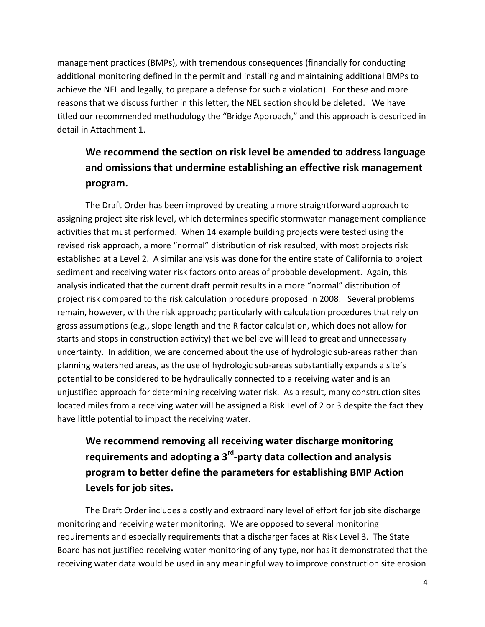management practices (BMPs), with tremendous consequences (financially for conducting additional monitoring defined in the permit and installing and maintaining additional BMPs to achieve the NEL and legally, to prepare a defense for such a violation). For these and more reasons that we discuss further in this letter, the NEL section should be deleted. We have titled our recommended methodology the "Bridge Approach," and this approach is described in detail in Attachment 1.

### **We recommend the section on risk level be amended to address language and omissions that undermine establishing an effective risk management program.**

The Draft Order has been improved by creating a more straightforward approach to assigning project site risk level, which determines specific stormwater management compliance activities that must performed. When 14 example building projects were tested using the revised risk approach, a more "normal" distribution of risk resulted, with most projects risk established at a Level 2. A similar analysis was done for the entire state of California to project sediment and receiving water risk factors onto areas of probable development. Again, this analysis indicated that the current draft permit results in a more "normal" distribution of project risk compared to the risk calculation procedure proposed in 2008. Several problems remain, however, with the risk approach; particularly with calculation procedures that rely on gross assumptions (e.g., slope length and the R factor calculation, which does not allow for starts and stops in construction activity) that we believe will lead to great and unnecessary uncertainty. In addition, we are concerned about the use of hydrologic sub-areas rather than planning watershed areas, as the use of hydrologic sub-areas substantially expands a site's potential to be considered to be hydraulically connected to a receiving water and is an unjustified approach for determining receiving water risk. As a result, many construction sites located miles from a receiving water will be assigned a Risk Level of 2 or 3 despite the fact they have little potential to impact the receiving water.

### **We recommend removing all receiving water discharge monitoring requirements and adopting a 3rd-party data collection and analysis program to better define the parameters for establishing BMP Action Levels for job sites.**

The Draft Order includes a costly and extraordinary level of effort for job site discharge monitoring and receiving water monitoring. We are opposed to several monitoring requirements and especially requirements that a discharger faces at Risk Level 3. The State Board has not justified receiving water monitoring of any type, nor has it demonstrated that the receiving water data would be used in any meaningful way to improve construction site erosion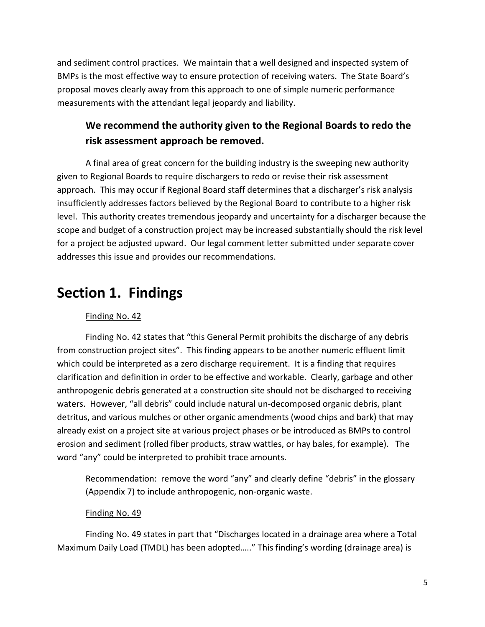and sediment control practices. We maintain that a well designed and inspected system of BMPs is the most effective way to ensure protection of receiving waters. The State Board's proposal moves clearly away from this approach to one of simple numeric performance measurements with the attendant legal jeopardy and liability.

### **We recommend the authority given to the Regional Boards to redo the risk assessment approach be removed.**

A final area of great concern for the building industry is the sweeping new authority given to Regional Boards to require dischargers to redo or revise their risk assessment approach. This may occur if Regional Board staff determines that a discharger's risk analysis insufficiently addresses factors believed by the Regional Board to contribute to a higher risk level. This authority creates tremendous jeopardy and uncertainty for a discharger because the scope and budget of a construction project may be increased substantially should the risk level for a project be adjusted upward. Our legal comment letter submitted under separate cover addresses this issue and provides our recommendations.

### <span id="page-4-0"></span>**Section 1. Findings**

### Finding No. 42

Finding No. 42 states that "this General Permit prohibits the discharge of any debris from construction project sites". This finding appears to be another numeric effluent limit which could be interpreted as a zero discharge requirement. It is a finding that requires clarification and definition in order to be effective and workable. Clearly, garbage and other anthropogenic debris generated at a construction site should not be discharged to receiving waters. However, "all debris" could include natural un-decomposed organic debris, plant detritus, and various mulches or other organic amendments (wood chips and bark) that may already exist on a project site at various project phases or be introduced as BMPs to control erosion and sediment (rolled fiber products, straw wattles, or hay bales, for example). The word "any" could be interpreted to prohibit trace amounts.

Recommendation: remove the word "any" and clearly define "debris" in the glossary (Appendix 7) to include anthropogenic, non-organic waste.

#### Finding No. 49

Finding No. 49 states in part that "Discharges located in a drainage area where a Total Maximum Daily Load (TMDL) has been adopted….." This finding's wording (drainage area) is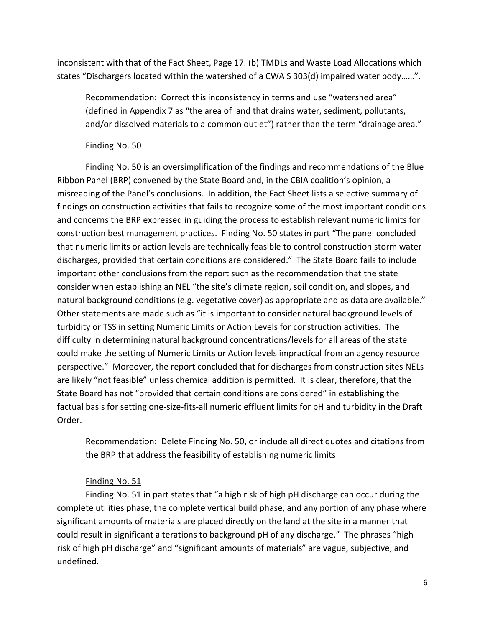inconsistent with that of the Fact Sheet, Page 17. (b) TMDLs and Waste Load Allocations which states "Dischargers located within the watershed of a CWA S 303(d) impaired water body……".

Recommendation: Correct this inconsistency in terms and use "watershed area" (defined in Appendix 7 as "the area of land that drains water, sediment, pollutants, and/or dissolved materials to a common outlet") rather than the term "drainage area."

#### Finding No. 50

Finding No. 50 is an oversimplification of the findings and recommendations of the Blue Ribbon Panel (BRP) convened by the State Board and, in the CBIA coalition's opinion, a misreading of the Panel's conclusions. In addition, the Fact Sheet lists a selective summary of findings on construction activities that fails to recognize some of the most important conditions and concerns the BRP expressed in guiding the process to establish relevant numeric limits for construction best management practices. Finding No. 50 states in part "The panel concluded that numeric limits or action levels are technically feasible to control construction storm water discharges, provided that certain conditions are considered." The State Board fails to include important other conclusions from the report such as the recommendation that the state consider when establishing an NEL "the site's climate region, soil condition, and slopes, and natural background conditions (e.g. vegetative cover) as appropriate and as data are available." Other statements are made such as "it is important to consider natural background levels of turbidity or TSS in setting Numeric Limits or Action Levels for construction activities. The difficulty in determining natural background concentrations/levels for all areas of the state could make the setting of Numeric Limits or Action levels impractical from an agency resource perspective." Moreover, the report concluded that for discharges from construction sites NELs are likely "not feasible" unless chemical addition is permitted. It is clear, therefore, that the State Board has not "provided that certain conditions are considered" in establishing the factual basis for setting one-size-fits-all numeric effluent limits for pH and turbidity in the Draft Order.

Recommendation: Delete Finding No. 50, or include all direct quotes and citations from the BRP that address the feasibility of establishing numeric limits

#### Finding No. 51

Finding No. 51 in part states that "a high risk of high pH discharge can occur during the complete utilities phase, the complete vertical build phase, and any portion of any phase where significant amounts of materials are placed directly on the land at the site in a manner that could result in significant alterations to background pH of any discharge." The phrases "high risk of high pH discharge" and "significant amounts of materials" are vague, subjective, and undefined.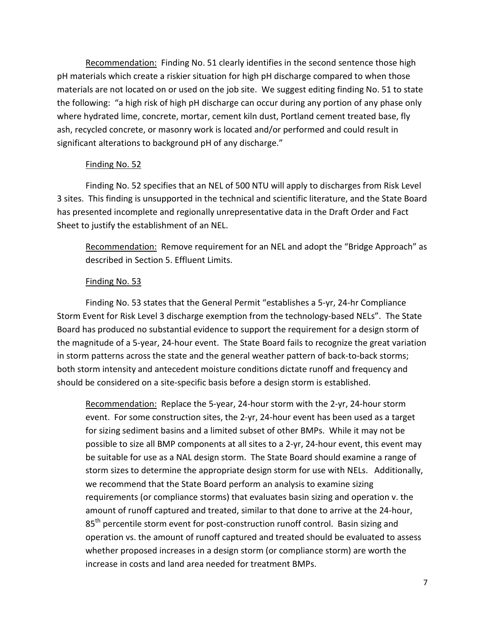Recommendation: Finding No. 51 clearly identifies in the second sentence those high pH materials which create a riskier situation for high pH discharge compared to when those materials are not located on or used on the job site. We suggest editing finding No. 51 to state the following: "a high risk of high pH discharge can occur during any portion of any phase only where hydrated lime, concrete, mortar, cement kiln dust, Portland cement treated base, fly ash, recycled concrete, or masonry work is located and/or performed and could result in significant alterations to background pH of any discharge."

#### Finding No. 52

Finding No. 52 specifies that an NEL of 500 NTU will apply to discharges from Risk Level 3 sites. This finding is unsupported in the technical and scientific literature, and the State Board has presented incomplete and regionally unrepresentative data in the Draft Order and Fact Sheet to justify the establishment of an NEL.

Recommendation: Remove requirement for an NEL and adopt the "Bridge Approach" as described in Section 5. Effluent Limits.

#### Finding No. 53

Finding No. 53 states that the General Permit "establishes a 5-yr, 24-hr Compliance Storm Event for Risk Level 3 discharge exemption from the technology-based NELs". The State Board has produced no substantial evidence to support the requirement for a design storm of the magnitude of a 5-year, 24-hour event. The State Board fails to recognize the great variation in storm patterns across the state and the general weather pattern of back-to-back storms; both storm intensity and antecedent moisture conditions dictate runoff and frequency and should be considered on a site-specific basis before a design storm is established.

Recommendation: Replace the 5-year, 24-hour storm with the 2-yr, 24-hour storm event. For some construction sites, the 2-yr, 24-hour event has been used as a target for sizing sediment basins and a limited subset of other BMPs. While it may not be possible to size all BMP components at all sites to a 2-yr, 24-hour event, this event may be suitable for use as a NAL design storm. The State Board should examine a range of storm sizes to determine the appropriate design storm for use with NELs. Additionally, we recommend that the State Board perform an analysis to examine sizing requirements (or compliance storms) that evaluates basin sizing and operation v. the amount of runoff captured and treated, similar to that done to arrive at the 24-hour, 85<sup>th</sup> percentile storm event for post-construction runoff control. Basin sizing and operation vs. the amount of runoff captured and treated should be evaluated to assess whether proposed increases in a design storm (or compliance storm) are worth the increase in costs and land area needed for treatment BMPs.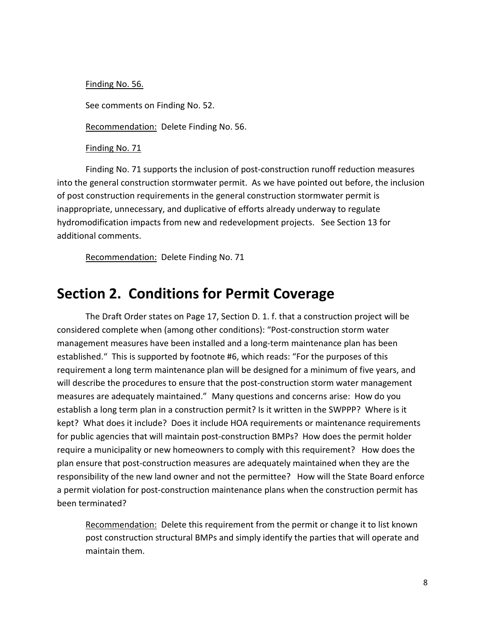Finding No. 56. See comments on Finding No. 52. Recommendation: Delete Finding No. 56.

Finding No. 71

Finding No. 71 supports the inclusion of post-construction runoff reduction measures into the general construction stormwater permit. As we have pointed out before, the inclusion of post construction requirements in the general construction stormwater permit is inappropriate, unnecessary, and duplicative of efforts already underway to regulate hydromodification impacts from new and redevelopment projects. See Section 13 for additional comments.

Recommendation: Delete Finding No. 71

### <span id="page-7-0"></span>**Section 2. Conditions for Permit Coverage**

The Draft Order states on Page 17, Section D. 1. f. that a construction project will be considered complete when (among other conditions): "Post-construction storm water management measures have been installed and a long-term maintenance plan has been established." This is supported by footnote #6, which reads: "For the purposes of this requirement a long term maintenance plan will be designed for a minimum of five years, and will describe the procedures to ensure that the post-construction storm water management measures are adequately maintained." Many questions and concerns arise: How do you establish a long term plan in a construction permit? Is it written in the SWPPP? Where is it kept? What does it include? Does it include HOA requirements or maintenance requirements for public agencies that will maintain post-construction BMPs? How does the permit holder require a municipality or new homeowners to comply with this requirement? How does the plan ensure that post-construction measures are adequately maintained when they are the responsibility of the new land owner and not the permittee? How will the State Board enforce a permit violation for post-construction maintenance plans when the construction permit has been terminated?

Recommendation: Delete this requirement from the permit or change it to list known post construction structural BMPs and simply identify the parties that will operate and maintain them.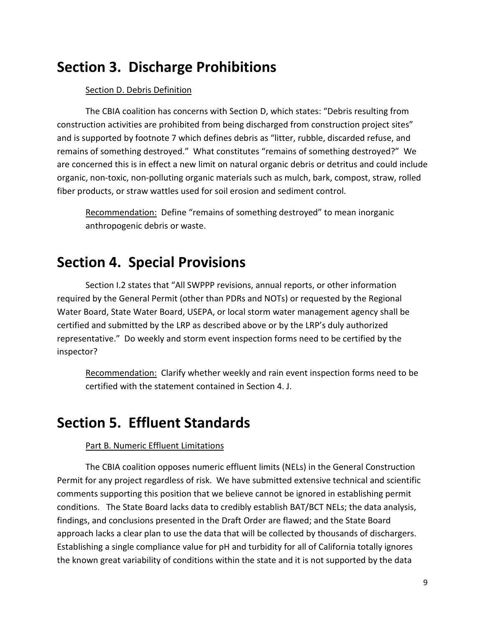## <span id="page-8-0"></span>**Section 3. Discharge Prohibitions**

#### Section D. Debris Definition

The CBIA coalition has concerns with Section D, which states: "Debris resulting from construction activities are prohibited from being discharged from construction project sites" and is supported by footnote 7 which defines debris as "litter, rubble, discarded refuse, and remains of something destroyed." What constitutes "remains of something destroyed?" We are concerned this is in effect a new limit on natural organic debris or detritus and could include organic, non-toxic, non-polluting organic materials such as mulch, bark, compost, straw, rolled fiber products, or straw wattles used for soil erosion and sediment control.

Recommendation: Define "remains of something destroyed" to mean inorganic anthropogenic debris or waste.

### <span id="page-8-1"></span>**Section 4. Special Provisions**

Section I.2 states that "All SWPPP revisions, annual reports, or other information required by the General Permit (other than PDRs and NOTs) or requested by the Regional Water Board, State Water Board, USEPA, or local storm water management agency shall be certified and submitted by the LRP as described above or by the LRP's duly authorized representative." Do weekly and storm event inspection forms need to be certified by the inspector?

Recommendation: Clarify whether weekly and rain event inspection forms need to be certified with the statement contained in Section 4. J.

### <span id="page-8-2"></span>**Section 5. Effluent Standards**

#### Part B. Numeric Effluent Limitations

The CBIA coalition opposes numeric effluent limits (NELs) in the General Construction Permit for any project regardless of risk. We have submitted extensive technical and scientific comments supporting this position that we believe cannot be ignored in establishing permit conditions. The State Board lacks data to credibly establish BAT/BCT NELs; the data analysis, findings, and conclusions presented in the Draft Order are flawed; and the State Board approach lacks a clear plan to use the data that will be collected by thousands of dischargers. Establishing a single compliance value for pH and turbidity for all of California totally ignores the known great variability of conditions within the state and it is not supported by the data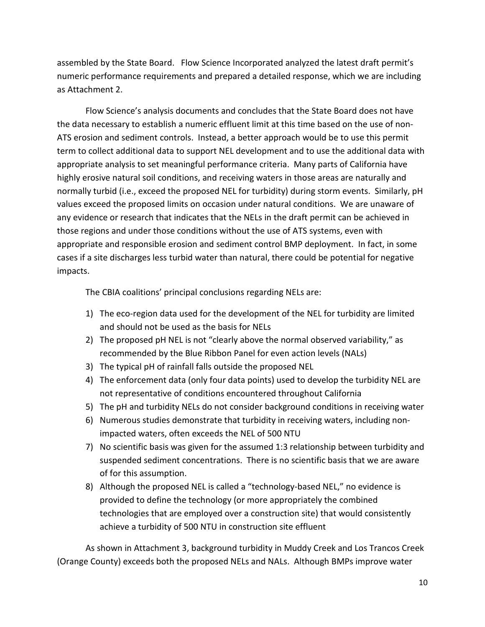assembled by the State Board. Flow Science Incorporated analyzed the latest draft permit's numeric performance requirements and prepared a detailed response, which we are including as Attachment 2.

Flow Science's analysis documents and concludes that the State Board does not have the data necessary to establish a numeric effluent limit at this time based on the use of non-ATS erosion and sediment controls. Instead, a better approach would be to use this permit term to collect additional data to support NEL development and to use the additional data with appropriate analysis to set meaningful performance criteria. Many parts of California have highly erosive natural soil conditions, and receiving waters in those areas are naturally and normally turbid (i.e., exceed the proposed NEL for turbidity) during storm events. Similarly, pH values exceed the proposed limits on occasion under natural conditions. We are unaware of any evidence or research that indicates that the NELs in the draft permit can be achieved in those regions and under those conditions without the use of ATS systems, even with appropriate and responsible erosion and sediment control BMP deployment. In fact, in some cases if a site discharges less turbid water than natural, there could be potential for negative impacts.

The CBIA coalitions' principal conclusions regarding NELs are:

- 1) The eco-region data used for the development of the NEL for turbidity are limited and should not be used as the basis for NELs
- 2) The proposed pH NEL is not "clearly above the normal observed variability," as recommended by the Blue Ribbon Panel for even action levels (NALs)
- 3) The typical pH of rainfall falls outside the proposed NEL
- 4) The enforcement data (only four data points) used to develop the turbidity NEL are not representative of conditions encountered throughout California
- 5) The pH and turbidity NELs do not consider background conditions in receiving water
- 6) Numerous studies demonstrate that turbidity in receiving waters, including nonimpacted waters, often exceeds the NEL of 500 NTU
- 7) No scientific basis was given for the assumed 1:3 relationship between turbidity and suspended sediment concentrations. There is no scientific basis that we are aware of for this assumption.
- 8) Although the proposed NEL is called a "technology-based NEL," no evidence is provided to define the technology (or more appropriately the combined technologies that are employed over a construction site) that would consistently achieve a turbidity of 500 NTU in construction site effluent

As shown in Attachment 3, background turbidity in Muddy Creek and Los Trancos Creek (Orange County) exceeds both the proposed NELs and NALs. Although BMPs improve water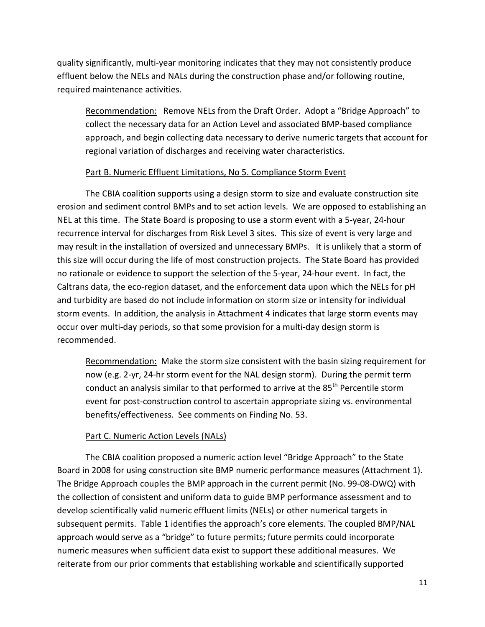quality significantly, multi-year monitoring indicates that they may not consistently produce effluent below the NELs and NALs during the construction phase and/or following routine, required maintenance activities.

Recommendation: Remove NELs from the Draft Order. Adopt a "Bridge Approach" to collect the necessary data for an Action Level and associated BMP-based compliance approach, and begin collecting data necessary to derive numeric targets that account for regional variation of discharges and receiving water characteristics.

#### Part B. Numeric Effluent Limitations, No 5. Compliance Storm Event

The CBIA coalition supports using a design storm to size and evaluate construction site erosion and sediment control BMPs and to set action levels. We are opposed to establishing an NEL at this time. The State Board is proposing to use a storm event with a 5-year, 24-hour recurrence interval for discharges from Risk Level 3 sites. This size of event is very large and may result in the installation of oversized and unnecessary BMPs. It is unlikely that a storm of this size will occur during the life of most construction projects. The State Board has provided no rationale or evidence to support the selection of the 5-year, 24-hour event. In fact, the Caltrans data, the eco-region dataset, and the enforcement data upon which the NELs for pH and turbidity are based do not include information on storm size or intensity for individual storm events. In addition, the analysis in Attachment 4 indicates that large storm events may occur over multi-day periods, so that some provision for a multi-day design storm is recommended.

Recommendation: Make the storm size consistent with the basin sizing requirement for now (e.g. 2-yr, 24-hr storm event for the NAL design storm). During the permit term conduct an analysis similar to that performed to arrive at the 85<sup>th</sup> Percentile storm event for post-construction control to ascertain appropriate sizing vs. environmental benefits/effectiveness. See comments on Finding No. 53.

#### Part C. Numeric Action Levels (NALs)

The CBIA coalition proposed a numeric action level "Bridge Approach" to the State Board in 2008 for using construction site BMP numeric performance measures (Attachment 1). The Bridge Approach couples the BMP approach in the current permit (No. 99-08-DWQ) with the collection of consistent and uniform data to guide BMP performance assessment and to develop scientifically valid numeric effluent limits (NELs) or other numerical targets in subsequent permits. Table 1 identifies the approach's core elements. The coupled BMP/NAL approach would serve as a "bridge" to future permits; future permits could incorporate numeric measures when sufficient data exist to support these additional measures. We reiterate from our prior comments that establishing workable and scientifically supported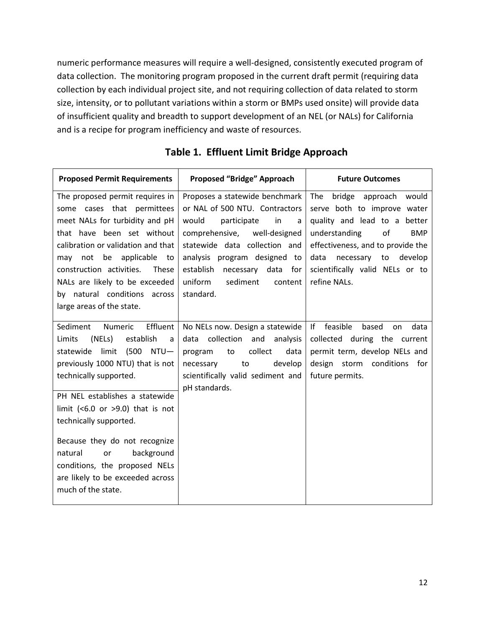numeric performance measures will require a well-designed, consistently executed program of data collection. The monitoring program proposed in the current draft permit (requiring data collection by each individual project site, and not requiring collection of data related to storm size, intensity, or to pollutant variations within a storm or BMPs used onsite) will provide data of insufficient quality and breadth to support development of an NEL (or NALs) for California and is a recipe for program inefficiency and waste of resources.

| <b>Proposed Permit Requirements</b>                                                                                                                                                                                                                                                                                                                                                                                         | <b>Proposed "Bridge" Approach</b>                                                                                                                                                                                                                                                   | <b>Future Outcomes</b>                                                                                                                                                                                                                                      |
|-----------------------------------------------------------------------------------------------------------------------------------------------------------------------------------------------------------------------------------------------------------------------------------------------------------------------------------------------------------------------------------------------------------------------------|-------------------------------------------------------------------------------------------------------------------------------------------------------------------------------------------------------------------------------------------------------------------------------------|-------------------------------------------------------------------------------------------------------------------------------------------------------------------------------------------------------------------------------------------------------------|
| The proposed permit requires in<br>some cases that permittees<br>meet NALs for turbidity and pH<br>that have been set without<br>calibration or validation and that<br>may not be applicable to<br>construction activities.<br>These<br>NALs are likely to be exceeded<br>by natural conditions across<br>large areas of the state.                                                                                         | Proposes a statewide benchmark<br>or NAL of 500 NTU. Contractors<br>in<br>would<br>participate<br>a<br>comprehensive, well-designed<br>statewide data collection and<br>analysis program designed to<br>establish necessary data for<br>uniform<br>sediment<br>content<br>standard. | bridge approach would<br>The<br>serve both to improve water<br>quality and lead to a better<br>understanding<br>of<br><b>BMP</b><br>effectiveness, and to provide the<br>data<br>necessary to<br>develop<br>scientifically valid NELs or to<br>refine NALs. |
| Effluent<br>Sediment<br>Numeric<br>Limits<br>(NELs)<br>establish<br>a<br>statewide limit (500 NTU-<br>previously 1000 NTU) that is not<br>technically supported.<br>PH NEL establishes a statewide<br>limit (<6.0 or >9.0) that is not<br>technically supported.<br>Because they do not recognize<br>background<br>natural<br>or<br>conditions, the proposed NELs<br>are likely to be exceeded across<br>much of the state. | No NELs now. Design a statewide<br>collection and<br>analysis<br>data<br>collect<br>data<br>program<br>to<br>develop<br>to<br>necessary<br>scientifically valid sediment and<br>pH standards.                                                                                       | feasible<br>lf<br>based<br>data<br>on<br>collected during the current<br>permit term, develop NELs and<br>design storm conditions<br>for<br>future permits.                                                                                                 |

### **Table 1. Effluent Limit Bridge Approach**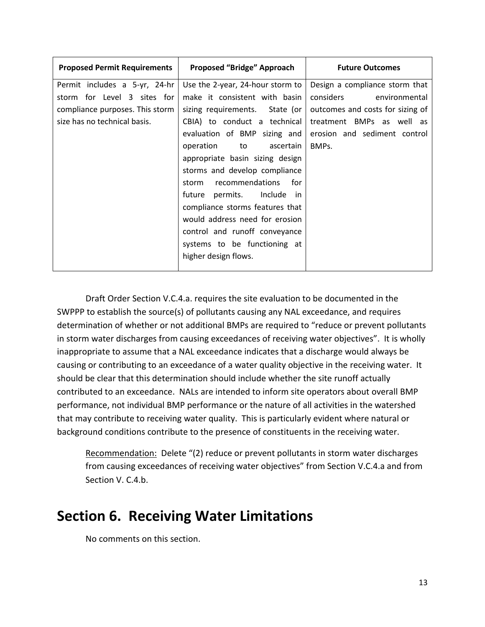| <b>Proposed Permit Requirements</b> | Proposed "Bridge" Approach          | <b>Future Outcomes</b>           |
|-------------------------------------|-------------------------------------|----------------------------------|
| Permit includes a 5-yr, 24-hr       | Use the 2-year, 24-hour storm to    | Design a compliance storm that   |
| storm for Level 3 sites for         | make it consistent with basin       | considers<br>environmental       |
| compliance purposes. This storm     | sizing requirements. State (or      | outcomes and costs for sizing of |
| size has no technical basis.        | CBIA) to conduct a technical        | treatment BMPs as well as        |
|                                     | evaluation of BMP sizing and        | erosion and sediment control     |
|                                     | operation to ascertain              | BMPs.                            |
|                                     | appropriate basin sizing design     |                                  |
|                                     | storms and develop compliance       |                                  |
|                                     | recommendations<br>for for<br>storm |                                  |
|                                     | permits. Include in<br>future       |                                  |
|                                     | compliance storms features that     |                                  |
|                                     | would address need for erosion      |                                  |
|                                     | control and runoff conveyance       |                                  |
|                                     | systems to be functioning at        |                                  |
|                                     | higher design flows.                |                                  |

Draft Order Section V.C.4.a. requires the site evaluation to be documented in the SWPPP to establish the source(s) of pollutants causing any NAL exceedance, and requires determination of whether or not additional BMPs are required to "reduce or prevent pollutants in storm water discharges from causing exceedances of receiving water objectives". It is wholly inappropriate to assume that a NAL exceedance indicates that a discharge would always be causing or contributing to an exceedance of a water quality objective in the receiving water. It should be clear that this determination should include whether the site runoff actually contributed to an exceedance. NALs are intended to inform site operators about overall BMP performance, not individual BMP performance or the nature of all activities in the watershed that may contribute to receiving water quality. This is particularly evident where natural or background conditions contribute to the presence of constituents in the receiving water.

Recommendation: Delete "(2) reduce or prevent pollutants in storm water discharges from causing exceedances of receiving water objectives" from Section V.C.4.a and from Section V. C.4.b.

# <span id="page-12-0"></span>**Section 6. Receiving Water Limitations**

No comments on this section.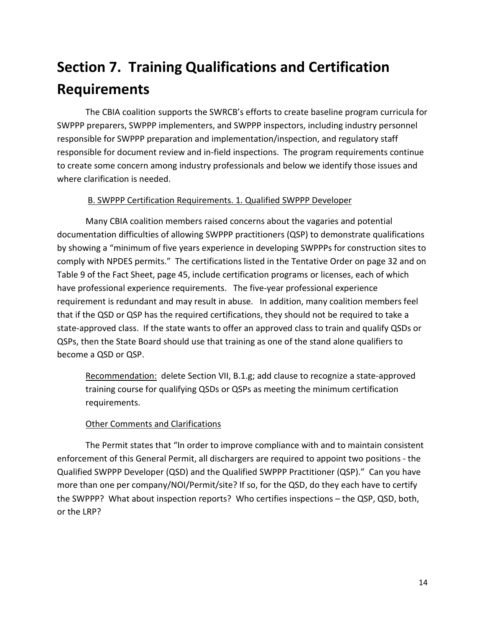# <span id="page-13-0"></span>**Section 7. Training Qualifications and Certification Requirements**

The CBIA coalition supports the SWRCB's efforts to create baseline program curricula for SWPPP preparers, SWPPP implementers, and SWPPP inspectors, including industry personnel responsible for SWPPP preparation and implementation/inspection, and regulatory staff responsible for document review and in-field inspections. The program requirements continue to create some concern among industry professionals and below we identify those issues and where clarification is needed.

#### B. SWPPP Certification Requirements. 1. Qualified SWPPP Developer

Many CBIA coalition members raised concerns about the vagaries and potential documentation difficulties of allowing SWPPP practitioners (QSP) to demonstrate qualifications by showing a "minimum of five years experience in developing SWPPPs for construction sites to comply with NPDES permits." The certifications listed in the Tentative Order on page 32 and on Table 9 of the Fact Sheet, page 45, include certification programs or licenses, each of which have professional experience requirements. The five-year professional experience requirement is redundant and may result in abuse. In addition, many coalition members feel that if the QSD or QSP has the required certifications, they should not be required to take a state-approved class. If the state wants to offer an approved class to train and qualify QSDs or QSPs, then the State Board should use that training as one of the stand alone qualifiers to become a QSD or QSP.

Recommendation: delete Section VII, B.1.g; add clause to recognize a state-approved training course for qualifying QSDs or QSPs as meeting the minimum certification requirements.

### Other Comments and Clarifications

The Permit states that "In order to improve compliance with and to maintain consistent enforcement of this General Permit, all dischargers are required to appoint two positions - the Qualified SWPPP Developer (QSD) and the Qualified SWPPP Practitioner (QSP)." Can you have more than one per company/NOI/Permit/site? If so, for the QSD, do they each have to certify the SWPPP? What about inspection reports? Who certifies inspections – the QSP, QSD, both, or the LRP?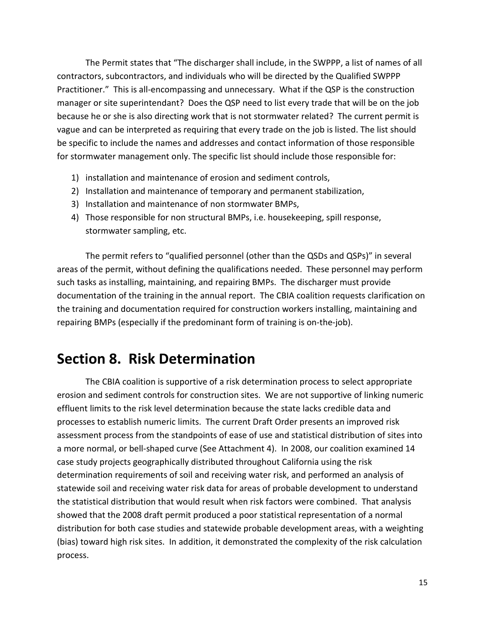The Permit states that "The discharger shall include, in the SWPPP, a list of names of all contractors, subcontractors, and individuals who will be directed by the Qualified SWPPP Practitioner." This is all-encompassing and unnecessary. What if the QSP is the construction manager or site superintendant? Does the QSP need to list every trade that will be on the job because he or she is also directing work that is not stormwater related? The current permit is vague and can be interpreted as requiring that every trade on the job is listed. The list should be specific to include the names and addresses and contact information of those responsible for stormwater management only. The specific list should include those responsible for:

- 1) installation and maintenance of erosion and sediment controls,
- 2) Installation and maintenance of temporary and permanent stabilization,
- 3) Installation and maintenance of non stormwater BMPs,
- 4) Those responsible for non structural BMPs, i.e. housekeeping, spill response, stormwater sampling, etc.

The permit refers to "qualified personnel (other than the QSDs and QSPs)" in several areas of the permit, without defining the qualifications needed. These personnel may perform such tasks as installing, maintaining, and repairing BMPs. The discharger must provide documentation of the training in the annual report. The CBIA coalition requests clarification on the training and documentation required for construction workers installing, maintaining and repairing BMPs (especially if the predominant form of training is on-the-job).

# <span id="page-14-0"></span>**Section 8. Risk Determination**

The CBIA coalition is supportive of a risk determination process to select appropriate erosion and sediment controls for construction sites. We are not supportive of linking numeric effluent limits to the risk level determination because the state lacks credible data and processes to establish numeric limits. The current Draft Order presents an improved risk assessment process from the standpoints of ease of use and statistical distribution of sites into a more normal, or bell-shaped curve (See Attachment 4). In 2008, our coalition examined 14 case study projects geographically distributed throughout California using the risk determination requirements of soil and receiving water risk, and performed an analysis of statewide soil and receiving water risk data for areas of probable development to understand the statistical distribution that would result when risk factors were combined. That analysis showed that the 2008 draft permit produced a poor statistical representation of a normal distribution for both case studies and statewide probable development areas, with a weighting (bias) toward high risk sites. In addition, it demonstrated the complexity of the risk calculation process.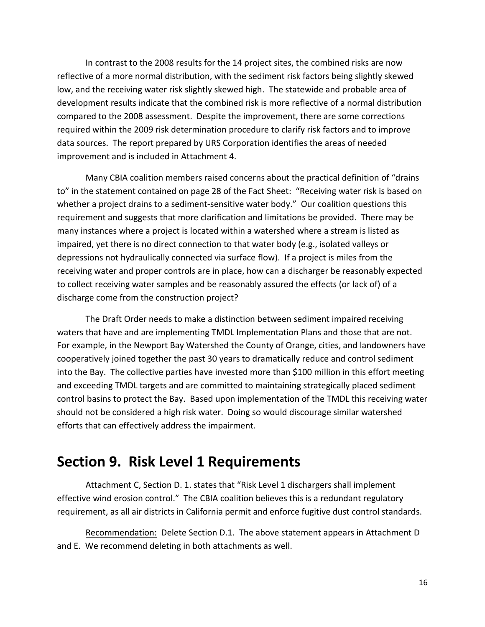In contrast to the 2008 results for the 14 project sites, the combined risks are now reflective of a more normal distribution, with the sediment risk factors being slightly skewed low, and the receiving water risk slightly skewed high. The statewide and probable area of development results indicate that the combined risk is more reflective of a normal distribution compared to the 2008 assessment. Despite the improvement, there are some corrections required within the 2009 risk determination procedure to clarify risk factors and to improve data sources. The report prepared by URS Corporation identifies the areas of needed improvement and is included in Attachment 4.

Many CBIA coalition members raised concerns about the practical definition of "drains to" in the statement contained on page 28 of the Fact Sheet: "Receiving water risk is based on whether a project drains to a sediment-sensitive water body." Our coalition questions this requirement and suggests that more clarification and limitations be provided. There may be many instances where a project is located within a watershed where a stream is listed as impaired, yet there is no direct connection to that water body (e.g., isolated valleys or depressions not hydraulically connected via surface flow). If a project is miles from the receiving water and proper controls are in place, how can a discharger be reasonably expected to collect receiving water samples and be reasonably assured the effects (or lack of) of a discharge come from the construction project?

The Draft Order needs to make a distinction between sediment impaired receiving waters that have and are implementing TMDL Implementation Plans and those that are not. For example, in the Newport Bay Watershed the County of Orange, cities, and landowners have cooperatively joined together the past 30 years to dramatically reduce and control sediment into the Bay. The collective parties have invested more than \$100 million in this effort meeting and exceeding TMDL targets and are committed to maintaining strategically placed sediment control basins to protect the Bay. Based upon implementation of the TMDL this receiving water should not be considered a high risk water. Doing so would discourage similar watershed efforts that can effectively address the impairment.

### <span id="page-15-0"></span>**Section 9. Risk Level 1 Requirements**

Attachment C, Section D. 1. states that "Risk Level 1 dischargers shall implement effective wind erosion control." The CBIA coalition believes this is a redundant regulatory requirement, as all air districts in California permit and enforce fugitive dust control standards.

Recommendation: Delete Section D.1. The above statement appears in Attachment D and E. We recommend deleting in both attachments as well.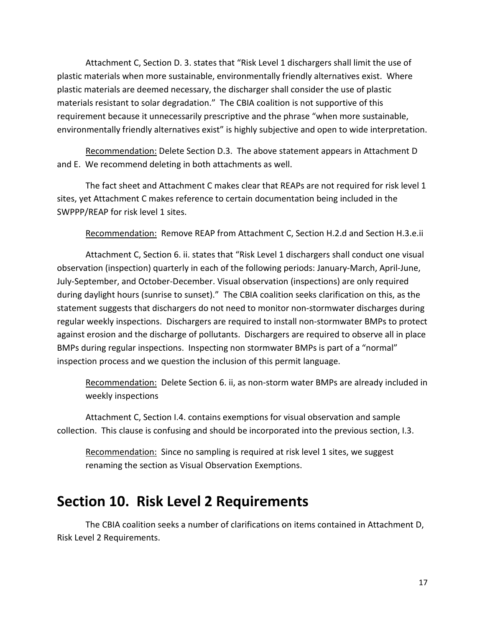Attachment C, Section D. 3. states that "Risk Level 1 dischargers shall limit the use of plastic materials when more sustainable, environmentally friendly alternatives exist. Where plastic materials are deemed necessary, the discharger shall consider the use of plastic materials resistant to solar degradation." The CBIA coalition is not supportive of this requirement because it unnecessarily prescriptive and the phrase "when more sustainable, environmentally friendly alternatives exist" is highly subjective and open to wide interpretation.

Recommendation: Delete Section D.3. The above statement appears in Attachment D and E. We recommend deleting in both attachments as well.

The fact sheet and Attachment C makes clear that REAPs are not required for risk level 1 sites, yet Attachment C makes reference to certain documentation being included in the SWPPP/REAP for risk level 1 sites.

Recommendation: Remove REAP from Attachment C, Section H.2.d and Section H.3.e.ii

Attachment C, Section 6. ii. states that "Risk Level 1 dischargers shall conduct one visual observation (inspection) quarterly in each of the following periods: January-March, April-June, July-September, and October-December. Visual observation (inspections) are only required during daylight hours (sunrise to sunset)." The CBIA coalition seeks clarification on this, as the statement suggests that dischargers do not need to monitor non-stormwater discharges during regular weekly inspections. Dischargers are required to install non-stormwater BMPs to protect against erosion and the discharge of pollutants. Dischargers are required to observe all in place BMPs during regular inspections. Inspecting non stormwater BMPs is part of a "normal" inspection process and we question the inclusion of this permit language.

Recommendation: Delete Section 6. ii, as non-storm water BMPs are already included in weekly inspections

Attachment C, Section I.4. contains exemptions for visual observation and sample collection. This clause is confusing and should be incorporated into the previous section, I.3.

Recommendation: Since no sampling is required at risk level 1 sites, we suggest renaming the section as Visual Observation Exemptions.

### <span id="page-16-0"></span>**Section 10. Risk Level 2 Requirements**

The CBIA coalition seeks a number of clarifications on items contained in Attachment D, Risk Level 2 Requirements.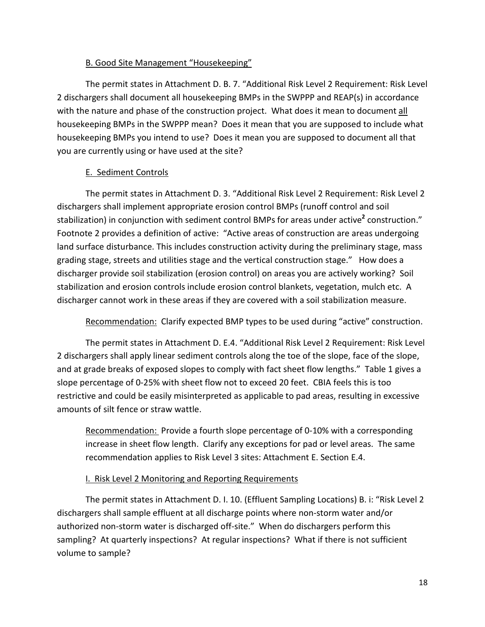#### B. Good Site Management "Housekeeping"

The permit states in Attachment D. B. 7. "Additional Risk Level 2 Requirement: Risk Level 2 dischargers shall document all housekeeping BMPs in the SWPPP and REAP(s) in accordance with the nature and phase of the construction project. What does it mean to document all housekeeping BMPs in the SWPPP mean? Does it mean that you are supposed to include what housekeeping BMPs you intend to use? Does it mean you are supposed to document all that you are currently using or have used at the site?

#### E. Sediment Controls

The permit states in Attachment D. 3. "Additional Risk Level 2 Requirement: Risk Level 2 dischargers shall implement appropriate erosion control BMPs (runoff control and soil stabilization) in conjunction with sediment control BMPs for areas under active**<sup>2</sup>** construction." Footnote 2 provides a definition of active: "Active areas of construction are areas undergoing land surface disturbance. This includes construction activity during the preliminary stage, mass grading stage, streets and utilities stage and the vertical construction stage." How does a discharger provide soil stabilization (erosion control) on areas you are actively working? Soil stabilization and erosion controls include erosion control blankets, vegetation, mulch etc. A discharger cannot work in these areas if they are covered with a soil stabilization measure.

Recommendation: Clarify expected BMP types to be used during "active" construction.

The permit states in Attachment D. E.4. "Additional Risk Level 2 Requirement: Risk Level 2 dischargers shall apply linear sediment controls along the toe of the slope, face of the slope, and at grade breaks of exposed slopes to comply with fact sheet flow lengths." Table 1 gives a slope percentage of 0-25% with sheet flow not to exceed 20 feet. CBIA feels this is too restrictive and could be easily misinterpreted as applicable to pad areas, resulting in excessive amounts of silt fence or straw wattle.

Recommendation: Provide a fourth slope percentage of 0-10% with a corresponding increase in sheet flow length. Clarify any exceptions for pad or level areas. The same recommendation applies to Risk Level 3 sites: Attachment E. Section E.4.

#### I. Risk Level 2 Monitoring and Reporting Requirements

The permit states in Attachment D. I. 10. (Effluent Sampling Locations) B. i: "Risk Level 2 dischargers shall sample effluent at all discharge points where non-storm water and/or authorized non-storm water is discharged off-site." When do dischargers perform this sampling? At quarterly inspections? At regular inspections? What if there is not sufficient volume to sample?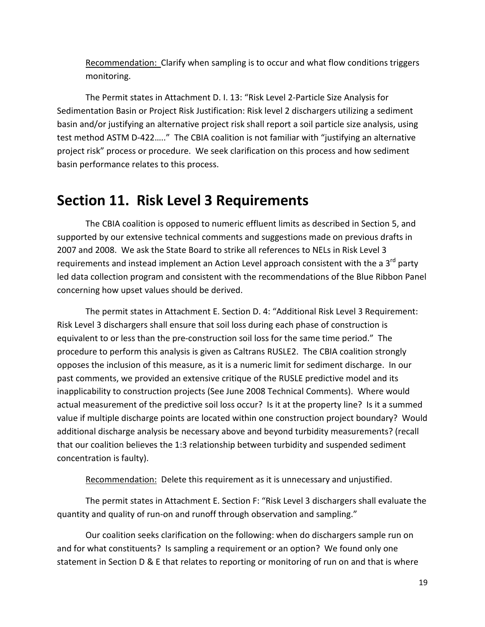Recommendation: Clarify when sampling is to occur and what flow conditions triggers monitoring.

The Permit states in Attachment D. I. 13: "Risk Level 2-Particle Size Analysis for Sedimentation Basin or Project Risk Justification: Risk level 2 dischargers utilizing a sediment basin and/or justifying an alternative project risk shall report a soil particle size analysis, using test method ASTM D-422….." The CBIA coalition is not familiar with "justifying an alternative project risk" process or procedure. We seek clarification on this process and how sediment basin performance relates to this process.

### <span id="page-18-0"></span>**Section 11. Risk Level 3 Requirements**

The CBIA coalition is opposed to numeric effluent limits as described in Section 5, and supported by our extensive technical comments and suggestions made on previous drafts in 2007 and 2008. We ask the State Board to strike all references to NELs in Risk Level 3 requirements and instead implement an Action Level approach consistent with the a  $3^{rd}$  party led data collection program and consistent with the recommendations of the Blue Ribbon Panel concerning how upset values should be derived.

The permit states in Attachment E. Section D. 4: "Additional Risk Level 3 Requirement: Risk Level 3 dischargers shall ensure that soil loss during each phase of construction is equivalent to or less than the pre-construction soil loss for the same time period." The procedure to perform this analysis is given as Caltrans RUSLE2. The CBIA coalition strongly opposes the inclusion of this measure, as it is a numeric limit for sediment discharge. In our past comments, we provided an extensive critique of the RUSLE predictive model and its inapplicability to construction projects (See June 2008 Technical Comments). Where would actual measurement of the predictive soil loss occur? Is it at the property line? Is it a summed value if multiple discharge points are located within one construction project boundary? Would additional discharge analysis be necessary above and beyond turbidity measurements? (recall that our coalition believes the 1:3 relationship between turbidity and suspended sediment concentration is faulty).

Recommendation: Delete this requirement as it is unnecessary and unjustified.

The permit states in Attachment E. Section F: "Risk Level 3 dischargers shall evaluate the quantity and quality of run-on and runoff through observation and sampling."

Our coalition seeks clarification on the following: when do dischargers sample run on and for what constituents? Is sampling a requirement or an option? We found only one statement in Section D & E that relates to reporting or monitoring of run on and that is where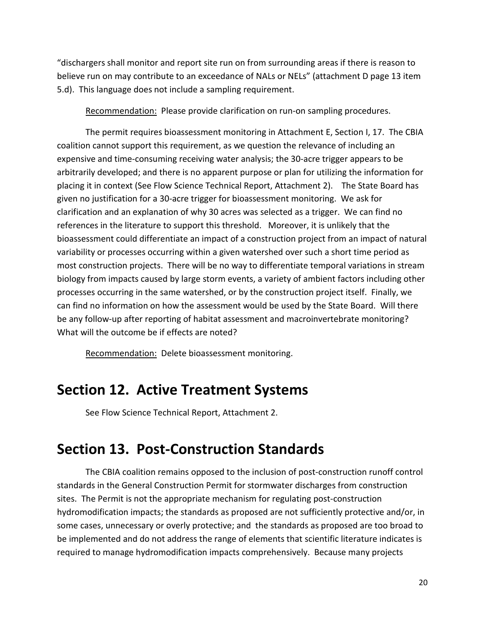"dischargers shall monitor and report site run on from surrounding areas if there is reason to believe run on may contribute to an exceedance of NALs or NELs" (attachment D page 13 item 5.d). This language does not include a sampling requirement.

Recommendation: Please provide clarification on run-on sampling procedures.

The permit requires bioassessment monitoring in Attachment E, Section I, 17. The CBIA coalition cannot support this requirement, as we question the relevance of including an expensive and time-consuming receiving water analysis; the 30-acre trigger appears to be arbitrarily developed; and there is no apparent purpose or plan for utilizing the information for placing it in context (See Flow Science Technical Report, Attachment 2). The State Board has given no justification for a 30-acre trigger for bioassessment monitoring. We ask for clarification and an explanation of why 30 acres was selected as a trigger. We can find no references in the literature to support this threshold. Moreover, it is unlikely that the bioassessment could differentiate an impact of a construction project from an impact of natural variability or processes occurring within a given watershed over such a short time period as most construction projects. There will be no way to differentiate temporal variations in stream biology from impacts caused by large storm events, a variety of ambient factors including other processes occurring in the same watershed, or by the construction project itself. Finally, we can find no information on how the assessment would be used by the State Board. Will there be any follow-up after reporting of habitat assessment and macroinvertebrate monitoring? What will the outcome be if effects are noted?

Recommendation: Delete bioassessment monitoring.

### <span id="page-19-0"></span>**Section 12. Active Treatment Systems**

See Flow Science Technical Report, Attachment 2.

### <span id="page-19-1"></span>**Section 13. Post-Construction Standards**

The CBIA coalition remains opposed to the inclusion of post-construction runoff control standards in the General Construction Permit for stormwater discharges from construction sites. The Permit is not the appropriate mechanism for regulating post-construction hydromodification impacts; the standards as proposed are not sufficiently protective and/or, in some cases, unnecessary or overly protective; and the standards as proposed are too broad to be implemented and do not address the range of elements that scientific literature indicates is required to manage hydromodification impacts comprehensively. Because many projects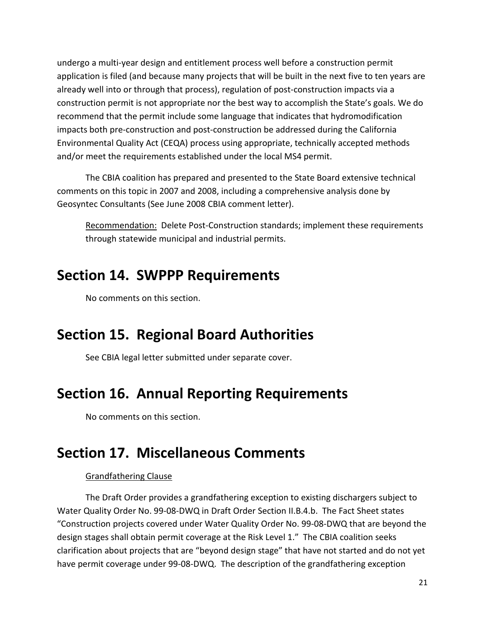undergo a multi-year design and entitlement process well before a construction permit application is filed (and because many projects that will be built in the next five to ten years are already well into or through that process), regulation of post-construction impacts via a construction permit is not appropriate nor the best way to accomplish the State's goals. We do recommend that the permit include some language that indicates that hydromodification impacts both pre-construction and post-construction be addressed during the California Environmental Quality Act (CEQA) process using appropriate, technically accepted methods and/or meet the requirements established under the local MS4 permit.

The CBIA coalition has prepared and presented to the State Board extensive technical comments on this topic in 2007 and 2008, including a comprehensive analysis done by Geosyntec Consultants (See June 2008 CBIA comment letter).

Recommendation: Delete Post-Construction standards; implement these requirements through statewide municipal and industrial permits.

## <span id="page-20-0"></span>**Section 14. SWPPP Requirements**

No comments on this section.

# <span id="page-20-1"></span>**Section 15. Regional Board Authorities**

See CBIA legal letter submitted under separate cover.

# <span id="page-20-2"></span>**Section 16. Annual Reporting Requirements**

No comments on this section.

# <span id="page-20-3"></span>**Section 17. Miscellaneous Comments**

### Grandfathering Clause

The Draft Order provides a grandfathering exception to existing dischargers subject to Water Quality Order No. 99-08-DWQ in Draft Order Section II.B.4.b. The Fact Sheet states "Construction projects covered under Water Quality Order No. 99-08-DWQ that are beyond the design stages shall obtain permit coverage at the Risk Level 1." The CBIA coalition seeks clarification about projects that are "beyond design stage" that have not started and do not yet have permit coverage under 99-08-DWQ. The description of the grandfathering exception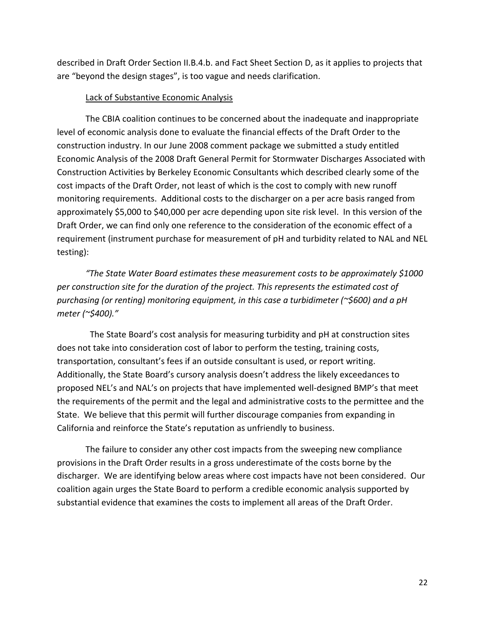described in Draft Order Section II.B.4.b. and Fact Sheet Section D, as it applies to projects that are "beyond the design stages", is too vague and needs clarification.

#### Lack of Substantive Economic Analysis

The CBIA coalition continues to be concerned about the inadequate and inappropriate level of economic analysis done to evaluate the financial effects of the Draft Order to the construction industry. In our June 2008 comment package we submitted a study entitled Economic Analysis of the 2008 Draft General Permit for Stormwater Discharges Associated with Construction Activities by Berkeley Economic Consultants which described clearly some of the cost impacts of the Draft Order, not least of which is the cost to comply with new runoff monitoring requirements. Additional costs to the discharger on a per acre basis ranged from approximately \$5,000 to \$40,000 per acre depending upon site risk level. In this version of the Draft Order, we can find only one reference to the consideration of the economic effect of a requirement (instrument purchase for measurement of pH and turbidity related to NAL and NEL testing):

*"The State Water Board estimates these measurement costs to be approximately \$1000 per construction site for the duration of the project. This represents the estimated cost of purchasing (or renting) monitoring equipment, in this case a turbidimeter (~\$600) and a pH meter (~\$400)."* 

The State Board's cost analysis for measuring turbidity and pH at construction sites does not take into consideration cost of labor to perform the testing, training costs, transportation, consultant's fees if an outside consultant is used, or report writing. Additionally, the State Board's cursory analysis doesn't address the likely exceedances to proposed NEL's and NAL's on projects that have implemented well-designed BMP's that meet the requirements of the permit and the legal and administrative costs to the permittee and the State. We believe that this permit will further discourage companies from expanding in California and reinforce the State's reputation as unfriendly to business.

The failure to consider any other cost impacts from the sweeping new compliance provisions in the Draft Order results in a gross underestimate of the costs borne by the discharger. We are identifying below areas where cost impacts have not been considered. Our coalition again urges the State Board to perform a credible economic analysis supported by substantial evidence that examines the costs to implement all areas of the Draft Order.